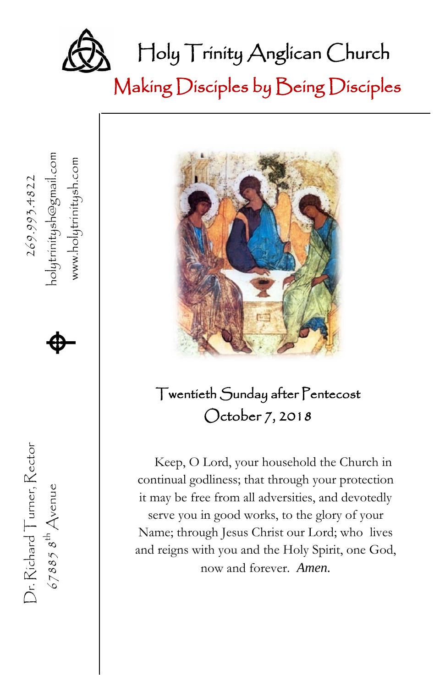

、

www.holytrinitysh.com

holytrinitysh@gmail.com<br>www.holytrinitysh.com

Dr. Richard Turner, Rector  $269.993.4822$ 

Dr. Richard Turner, Rector

 $678858^{th}$  Avenue

67885  $s^{\text{th}}$  Avenue **A** 

 $\spadesuit$ 

Making Disciples by Being Disciples



### Twentieth Sunday after Pentecost October 7, 2018

Keep, O Lord, your household the Church in continual godliness; that through your protection it may be free from all adversities, and devotedly serve you in good works, to the glory of your Name; through Jesus Christ our Lord; who lives and reigns with you and the Holy Spirit, one God, now and forever. *Amen.*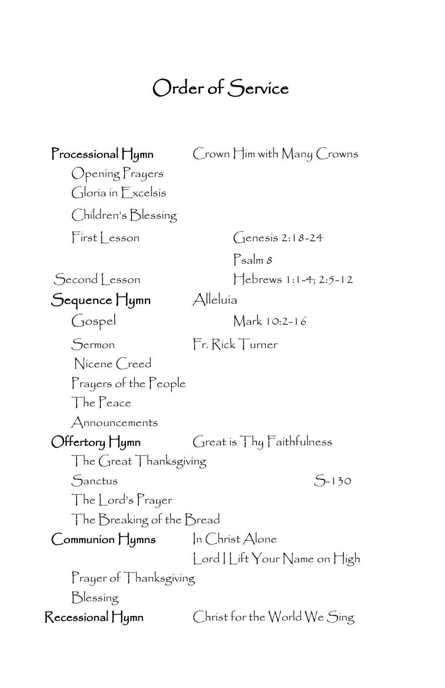## Order of Service

| $\Gamma$ rocessional $\prod$ ymn | Crown Him with Many Crowns          |
|----------------------------------|-------------------------------------|
| Opening Prayers                  |                                     |
| Gloria in Excelsis               |                                     |
| Children's Blessing              |                                     |
| First Lesson                     | $G$ enesis 2:18-24                  |
|                                  | $P_{\text{salm}}$ $\delta$          |
| Second Lesson                    | $\text{Hebrews } 1:1-4; 2:5-12$     |
| Sequence Hymn                    | Alleluía                            |
| Gospel                           | Mark 10:2-16                        |
| Sermon                           | Fr. Rick Turner                     |
| Nicene Creed                     |                                     |
| Prayers of the People            |                                     |
| The Peace                        |                                     |
| $A$ nnouncements                 |                                     |
| Offertory Hymn                   | $G$ reat is $Thy$ $F$ aithfulness   |
| The Great Thanksgiving           |                                     |
| Sanctus                          | $5 - 130$                           |
| The Lord's Prayer                |                                     |
| The Breaking of the Bread        |                                     |
|                                  | In $\bigcirc$ hríst $\bigcirc$ lone |
|                                  | Lord   Lift Your Name on High       |
| Prayer of Thanksgiving           |                                     |
| Blessing                         |                                     |
| Recessional Hymn                 | Christ for the World We Sing        |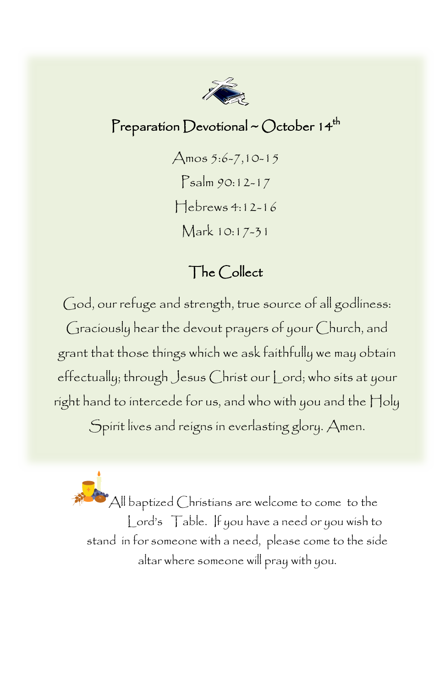

#### Preparation Devotional ~ October  $14<sup>th</sup>$

Amos 5:6-7,10-15 Psalm 90:12-17 Hebrews 4:12-16 Mark 10:17-31

#### The Collect

God, our refuge and strength, true source of all godliness: Graciously hear the devout prayers of your Church, and grant that those things which we ask faithfully we may obtain effectually; through Jesus Christ our Lord; who sits at your right hand to intercede for us, and who with you and the Holy Spirit lives and reigns in everlasting glory. Amen.

All baptized Christians are welcome to come to the Lord's Table. If you have a need or you wish to stand in for someone with a need, please come to the side altar where someone will pray with you.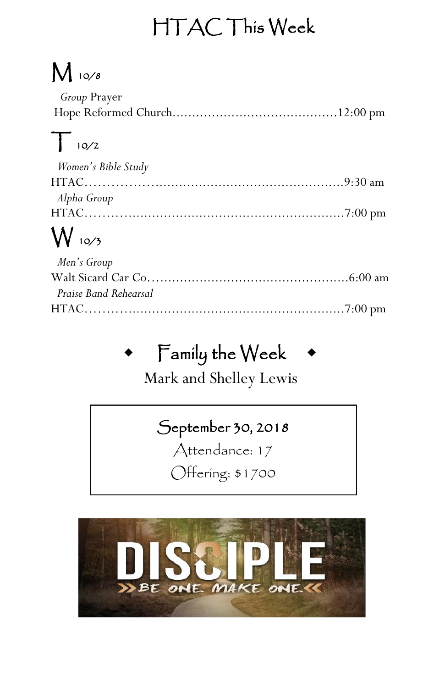## HTAC This Week

# $M$  10/8

| <i>Group</i> Prayer |  |
|---------------------|--|
|                     |  |

### $T$  10/2

| Women's Bible Study |  |
|---------------------|--|
|                     |  |
| Alpha Group         |  |
|                     |  |

## $W_{10/3}$

| Men's Group           |  |
|-----------------------|--|
|                       |  |
| Praise Band Rehearsal |  |
|                       |  |

## Family the Week

Mark and Shelley Lewis

### September 30, 2018

Attendance: 17

Offering: \$1700

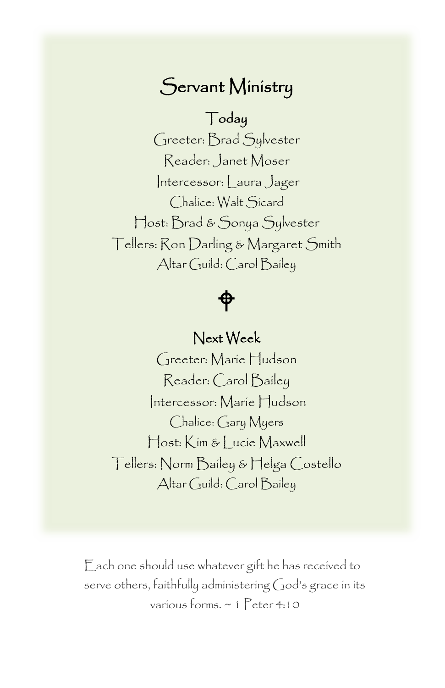### Servant Ministry

#### Today

 Greeter: Brad Sylvester Intercessor: Laura Jager naiice: <sub>W</sub>ait<br>Host: Brad & Sonya Sylvester Altar Guild: Carol Bailey Reader: Janet Moser Chalice: Walt Sicard Tellers: Ron Darling & Margaret Smith

### ф

#### Next Week

 Greeter: Marie Hudson Intercessor: Marie Hudson Reader: Carol Bailey Chalice: Gary Myers Host: Kim & Lucie Maxwell Tellers: Norm Bailey & Helga Costello Altar Guild: Carol Bailey

Each one should use whatever gift he has received to serve others, faithfully administering God's grace in its various forms. ~ 1 Peter 4:10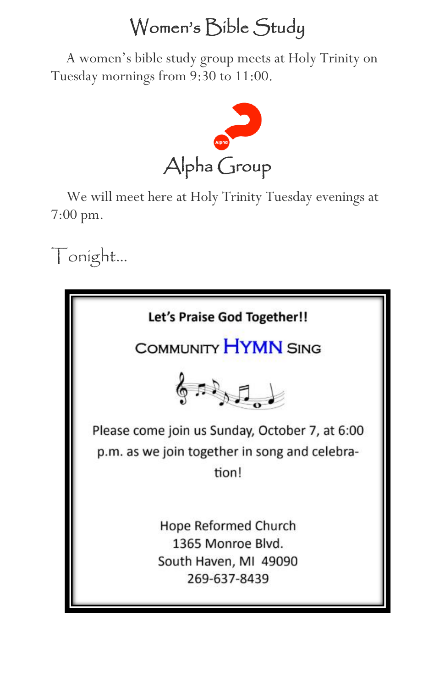### Women's Bible Study

 A women's bible study group meets at Holy Trinity on Tuesday mornings from 9:30 to 11:00.



 We will meet here at Holy Trinity Tuesday evenings at 7:00 pm.

Tonight…

| Let's Praise God Together!!                                                                              |  |  |  |  |  |  |  |  |
|----------------------------------------------------------------------------------------------------------|--|--|--|--|--|--|--|--|
| COMMUNITY HYMN SING                                                                                      |  |  |  |  |  |  |  |  |
| $\sqrt{2}$                                                                                               |  |  |  |  |  |  |  |  |
| Please come join us Sunday, October 7, at 6:00<br>p.m. as we join together in song and celebra-<br>tion! |  |  |  |  |  |  |  |  |
| Hope Reformed Church<br>1365 Monroe Blvd.<br>South Haven, MI 49090<br>269-637-8439                       |  |  |  |  |  |  |  |  |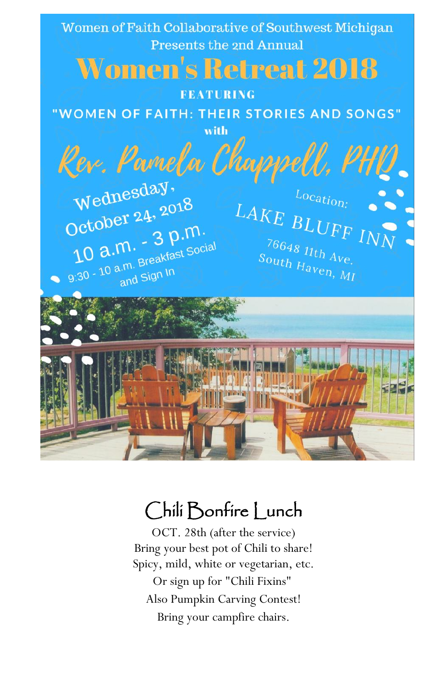

### Chili Bonfire Lunch

OCT. 28th (after the service) Bring your best pot of Chili to share! Spicy, mild, white or vegetarian, etc. Or sign up for "Chili Fixins" Also Pumpkin Carving Contest! Bring your campfire chairs.